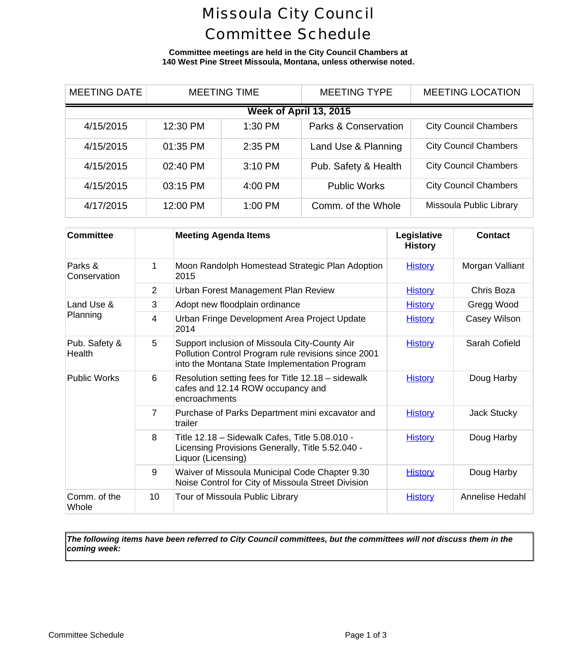### Missoula City Council Committee Schedule

**Committee meetings are held in the City Council Chambers at 140 West Pine Street Missoula, Montana, unless otherwise noted.**

| <b>MEETING DATE</b>    | <b>MEETING TIME</b> |         | <b>MEETING TYPE</b>             | <b>MEETING LOCA</b>      |  |  |  |
|------------------------|---------------------|---------|---------------------------------|--------------------------|--|--|--|
| Week of April 13, 2015 |                     |         |                                 |                          |  |  |  |
| 4/15/2015              | 12:30 PM            | 1:30 PM | <b>Parks &amp; Conservation</b> | <b>City Council Cham</b> |  |  |  |
| 4/15/2015              | 01:35 PM            | 2:35 PM | Land Use & Planning             | <b>City Council Cham</b> |  |  |  |
| 4/15/2015              | 02:40 PM            | 3:10 PM | Pub. Safety & Health            | <b>City Council Cham</b> |  |  |  |
| 4/15/2015              | 03:15 PM            | 4:00 PM | <b>Public Works</b>             | <b>City Council Cham</b> |  |  |  |
| 4/17/2015              | 12:00 PM            | 1:00 PM | Comm. of the Whole              | Missoula Public Li       |  |  |  |

| <b>Committee</b>        |                 | <b>Meeting Agenda Items</b>                                                                                                                           | Legislative<br><b>History</b> | Cont     |
|-------------------------|-----------------|-------------------------------------------------------------------------------------------------------------------------------------------------------|-------------------------------|----------|
| Parks &<br>Conservation | 1               | Moon Randolph Homestead Strategic Plan Adoption<br>2015                                                                                               | <b>History</b>                | Morgan \ |
|                         | 2               | Urban Forest Management Plan Review                                                                                                                   | <b>History</b>                | Chris E  |
| Land Use &<br>Planning  | 3               | Adopt new floodplain ordinance                                                                                                                        | <b>History</b>                | Gregg \  |
|                         | 4               | Urban Fringe Development Area Project Update<br>2014                                                                                                  | <b>History</b>                | Casey V  |
| Pub. Safety &<br>Health | 5               | Support inclusion of Missoula City-County Air<br>Pollution Control Program rule revisions since 2001<br>into the Montana State Implementation Program | <b>History</b>                | Sarah C  |
| <b>Public Works</b>     | 6               | Resolution setting fees for Title 12.18 - sidewalk<br>cafes and 12.14 ROW occupancy and<br>encroachments                                              | <b>History</b>                | Doug H   |
|                         | 7               | Purchase of Parks Department mini excavator and<br>trailer                                                                                            | <b>History</b>                | Jack St  |
|                         | 8               | Title 12.18 - Sidewalk Cafes, Title 5.08.010 -<br>Licensing Provisions Generally, Title 5.52.040 -<br>Liquor (Licensing)                              | <b>History</b>                | Doug H   |
|                         | 9               | Waiver of Missoula Municipal Code Chapter 9.30<br>Noise Control for City of Missoula Street Division                                                  | <b>History</b>                | Doug H   |
| Comm. of the<br>Whole   | 10 <sup>1</sup> | Tour of Missoula Public Library                                                                                                                       | <b>History</b>                | Annelise |

*The following items have been referred to City Council committees, but the committees will not discuss them in the coming week:*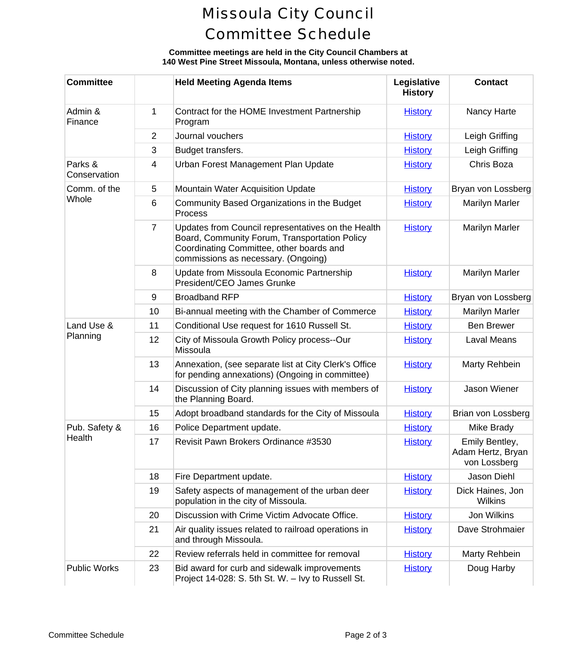# Missoula City Council Committee Schedule

### **Committee meetings are held in the City Council Chambers at 140 West Pine Street Missoula, Montana, unless otherwise noted.**

| <b>Committee</b>        |                | <b>Held Meeting Agenda Items</b>                                                                                                                                                       | Legislative<br><b>History</b> | Conta                                             |
|-------------------------|----------------|----------------------------------------------------------------------------------------------------------------------------------------------------------------------------------------|-------------------------------|---------------------------------------------------|
| Admin &<br>Finance      | 1              | Contract for the HOME Investment Partnership<br>Program                                                                                                                                | <b>History</b>                | Nancy H                                           |
|                         | 2              | Journal vouchers                                                                                                                                                                       | <b>History</b>                | Leigh Gr                                          |
|                         | 3              | Budget transfers.                                                                                                                                                                      | <b>History</b>                | Leigh Gr                                          |
| Parks &<br>Conservation | 4              | Urban Forest Management Plan Update                                                                                                                                                    | <b>History</b>                | Chris B                                           |
| Comm. of the<br>Whole   | 5              | <b>Mountain Water Acquisition Update</b>                                                                                                                                               | <b>History</b>                | Bryan von L                                       |
|                         | 6              | Community Based Organizations in the Budget<br>Process                                                                                                                                 | <b>History</b>                | Marilyn N                                         |
|                         | $\overline{7}$ | Updates from Council representatives on the Health<br>Board, Community Forum, Transportation Policy<br>Coordinating Committee, other boards and<br>commissions as necessary. (Ongoing) | <b>History</b>                | Marilyn N                                         |
|                         | 8              | Update from Missoula Economic Partnership<br>President/CEO James Grunke                                                                                                                | <b>History</b>                | Marilyn N                                         |
|                         | 9              | <b>Broadband RFP</b>                                                                                                                                                                   | <b>History</b>                | Bryan von L                                       |
|                         | 10             | Bi-annual meeting with the Chamber of Commerce                                                                                                                                         | <b>History</b>                | Marilyn N                                         |
| Land Use &              | 11             | Conditional Use request for 1610 Russell St.                                                                                                                                           | <b>History</b>                | Ben Bre                                           |
| Planning                | 12             | City of Missoula Growth Policy process--Our<br>Missoula                                                                                                                                | <b>History</b>                | Laval M                                           |
|                         | 13             | Annexation, (see separate list at City Clerk's Office<br>for pending annexations) (Ongoing in committee)                                                                               | <b>History</b>                | Marty Re                                          |
|                         | 14             | Discussion of City planning issues with members of<br>the Planning Board.                                                                                                              | <b>History</b>                | Jason W                                           |
|                         | 15             | Adopt broadband standards for the City of Missoula                                                                                                                                     | <b>History</b>                | Brian von L                                       |
| Pub. Safety &           | 16             | Police Department update.                                                                                                                                                              | <b>History</b>                | Mike Br                                           |
| Health                  | 17             | Revisit Pawn Brokers Ordinance #3530                                                                                                                                                   | <b>History</b>                | <b>Emily Ber</b><br><b>Adam Hertz</b><br>von Loss |
|                         | 18             | Fire Department update.                                                                                                                                                                | <b>History</b>                | Jason D                                           |
|                         | 19             | Safety aspects of management of the urban deer<br>population in the city of Missoula.                                                                                                  | <b>History</b>                | <b>Dick Haine</b><br>Wilkir                       |
|                         | 20             | Discussion with Crime Victim Advocate Office.                                                                                                                                          | <b>History</b>                | Jon Wil                                           |
|                         | 21             | Air quality issues related to railroad operations in<br>and through Missoula.                                                                                                          | <b>History</b>                | Dave Stro                                         |
|                         | 22             | Review referrals held in committee for removal                                                                                                                                         | <b>History</b>                | Marty Re                                          |
| <b>Public Works</b>     | 23             | Bid award for curb and sidewalk improvements<br>Project 14-028: S. 5th St. W. - Ivy to Russell St.                                                                                     | <b>History</b>                | Doug H                                            |